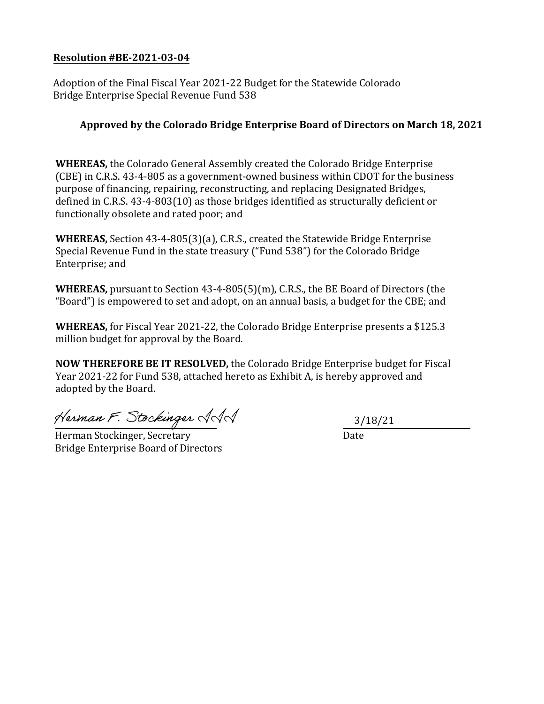## **Resolution #BE-2021-03-04**

Adoption of the Final Fiscal Year 2021-22 Budget for the Statewide Colorado Bridge Enterprise Special Revenue Fund 538

## **Approved by the Colorado Bridge Enterprise Board of Directors on March 18, 2021**

**WHEREAS,** the Colorado General Assembly created the Colorado Bridge Enterprise (CBE) in C.R.S. 43-4-805 as a government-owned business within CDOT for the business purpose of financing, repairing, reconstructing, and replacing Designated Bridges, defined in C.R.S. 43-4-803(10) as those bridges identified as structurally deficient or functionally obsolete and rated poor; and

**WHEREAS,** Section 43-4-805(3)(a), C.R.S., created the Statewide Bridge Enterprise Special Revenue Fund in the state treasury ("Fund 538") for the Colorado Bridge Enterprise; and

**WHEREAS,** pursuant to Section 43-4-805(5)(m), C.R.S., the BE Board of Directors (the "Board") is empowered to set and adopt, on an annual basis, a budget for the CBE; and

**WHEREAS,** for Fiscal Year 2021-22, the Colorado Bridge Enterprise presents a \$125.3 million budget for approval by the Board.

**NOW THEREFORE BE IT RESOLVED,** the Colorado Bridge Enterprise budget for Fiscal Year 2021-22 for Fund 538, attached hereto as Exhibit A, is hereby approved and adopted by the Board.

Herman F. Stockinger AAA

Herman Stockinger, Secretary Date Bridge Enterprise Board of Directors

3/18/21